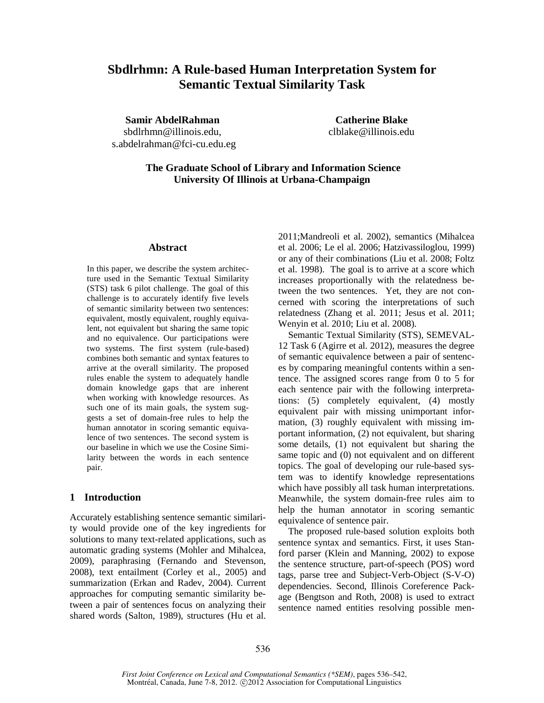# **Sbdlrhmn: A Rule-based Human Interpretation System for Semantic Textual Similarity Task**

**Samir AbdelRahman**  sbdlrhmn@illinois.edu, s.abdelrahman@fci-cu.edu.eg

**Catherine Blake**  clblake@illinois.edu

 **The Graduate School of Library and Information Science University Of Illinois at Urbana-Champaign** 

#### **Abstract**

In this paper, we describe the system architecture used in the Semantic Textual Similarity (STS) task 6 pilot challenge. The goal of this challenge is to accurately identify five levels of semantic similarity between two sentences: equivalent, mostly equivalent, roughly equivalent, not equivalent but sharing the same topic and no equivalence. Our participations were two systems. The first system (rule-based) combines both semantic and syntax features to arrive at the overall similarity. The proposed rules enable the system to adequately handle domain knowledge gaps that are inherent when working with knowledge resources. As such one of its main goals, the system suggests a set of domain-free rules to help the human annotator in scoring semantic equivalence of two sentences. The second system is our baseline in which we use the Cosine Similarity between the words in each sentence pair.

## **1 Introduction**

Accurately establishing sentence semantic similarity would provide one of the key ingredients for solutions to many text-related applications, such as automatic grading systems (Mohler and Mihalcea, 2009), paraphrasing (Fernando and Stevenson, 2008), text entailment (Corley et al., 2005) and summarization (Erkan and Radev, 2004). Current approaches for computing semantic similarity between a pair of sentences focus on analyzing their shared words (Salton, 1989), structures (Hu et al. 2011;Mandreoli et al. 2002), semantics (Mihalcea et al. 2006; Le el al. 2006; Hatzivassiloglou, 1999) or any of their combinations (Liu et al. 2008; Foltz et al. 1998). The goal is to arrive at a score which increases proportionally with the relatedness between the two sentences. Yet, they are not concerned with scoring the interpretations of such relatedness (Zhang et al. 2011; Jesus et al. 2011; Wenyin et al. 2010; Liu et al. 2008).

Semantic Textual Similarity (STS), SEMEVAL-12 Task 6 (Agirre et al. 2012), measures the degree of semantic equivalence between a pair of sentences by comparing meaningful contents within a sentence. The assigned scores range from 0 to 5 for each sentence pair with the following interpretations: (5) completely equivalent, (4) mostly equivalent pair with missing unimportant information, (3) roughly equivalent with missing important information, (2) not equivalent, but sharing some details, (1) not equivalent but sharing the same topic and (0) not equivalent and on different topics. The goal of developing our rule-based system was to identify knowledge representations which have possibly all task human interpretations. Meanwhile, the system domain-free rules aim to help the human annotator in scoring semantic equivalence of sentence pair.

The proposed rule-based solution exploits both sentence syntax and semantics. First, it uses Stanford parser (Klein and Manning, 2002) to expose the sentence structure, part-of-speech (POS) word tags, parse tree and Subject-Verb-Object (S-V-O) dependencies. Second, Illinois Coreference Package (Bengtson and Roth, 2008) is used to extract sentence named entities resolving possible men-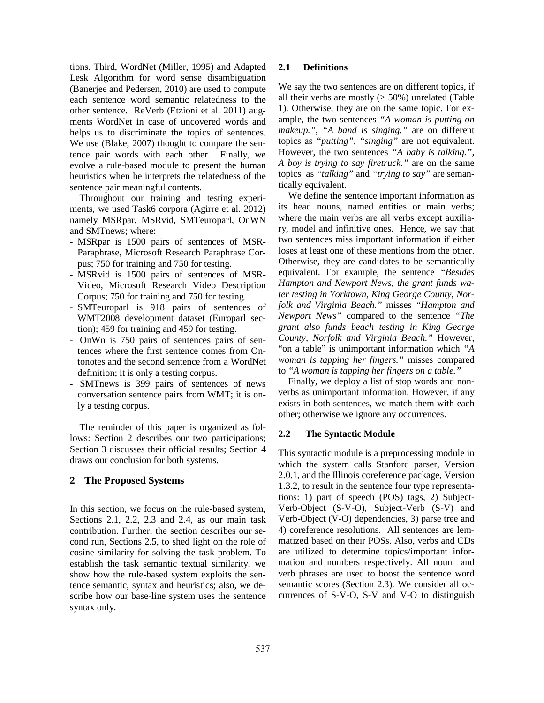tions. Third, WordNet (Miller, 1995) and Adapted Lesk Algorithm for word sense disambiguation (Banerjee and Pedersen, 2010) are used to compute each sentence word semantic relatedness to the other sentence. ReVerb (Etzioni et al. 2011) augments WordNet in case of uncovered words and helps us to discriminate the topics of sentences. We use (Blake, 2007) thought to compare the sentence pair words with each other. Finally, we evolve a rule-based module to present the human heuristics when he interprets the relatedness of the sentence pair meaningful contents.

Throughout our training and testing experiments, we used Task6 corpora (Agirre et al. 2012) namely MSRpar, MSRvid, SMTeuroparl, OnWN and SMTnews; where:

- MSRpar is 1500 pairs of sentences of MSR-Paraphrase, Microsoft Research Paraphrase Corpus; 750 for training and 750 for testing.
- MSRvid is 1500 pairs of sentences of MSR-Video, Microsoft Research Video Description Corpus; 750 for training and 750 for testing.
- SMTeuroparl is 918 pairs of sentences of WMT2008 development dataset (Europarl section); 459 for training and 459 for testing.
- OnWn is 750 pairs of sentences pairs of sentences where the first sentence comes from Ontonotes and the second sentence from a WordNet definition; it is only a testing corpus.
- SMTnews is 399 pairs of sentences of news conversation sentence pairs from WMT; it is only a testing corpus.

The reminder of this paper is organized as follows: Section 2 describes our two participations; Section 3 discusses their official results; Section 4 draws our conclusion for both systems.

# **2 The Proposed Systems**

In this section, we focus on the rule-based system, Sections 2.1, 2.2, 2.3 and 2.4, as our main task contribution. Further, the section describes our second run, Sections 2.5, to shed light on the role of cosine similarity for solving the task problem. To establish the task semantic textual similarity, we show how the rule-based system exploits the sentence semantic, syntax and heuristics; also, we describe how our base-line system uses the sentence syntax only.

## **2.1 Definitions**

We say the two sentences are on different topics, if all their verbs are mostly  $($  > 50%) unrelated (Table 1). Otherwise, they are on the same topic. For example, the two sentences *"A woman is putting on makeup."*, *"A band is singing."* are on different topics as *"putting"*, *"singing"* are not equivalent. However, the two sentences *"A baby is talking."*, *A boy is trying to say firetruck."* are on the same topics as *"talking"* and *"trying to say"* are semantically equivalent.

We define the sentence important information as its head nouns, named entities or main verbs; where the main verbs are all verbs except auxiliary, model and infinitive ones. Hence, we say that two sentences miss important information if either loses at least one of these mentions from the other. Otherwise, they are candidates to be semantically equivalent. For example, the sentence *"Besides Hampton and Newport News, the grant funds water testing in Yorktown, King George County, Norfolk and Virginia Beach."* misses *"Hampton and Newport News"* compared to the sentence *"The grant also funds beach testing in King George County, Norfolk and Virginia Beach."* However, "on a table" is unimportant information which *"A woman is tapping her fingers."* misses compared to *"A woman is tapping her fingers on a table."* 

Finally, we deploy a list of stop words and nonverbs as unimportant information. However, if any exists in both sentences, we match them with each other; otherwise we ignore any occurrences.

## **2.2 The Syntactic Module**

This syntactic module is a preprocessing module in which the system calls Stanford parser, Version 2.0.1, and the Illinois coreference package, Version 1.3.2, to result in the sentence four type representations: 1) part of speech (POS) tags, 2) Subject-Verb-Object (S-V-O), Subject-Verb (S-V) and Verb-Object (V-O) dependencies, 3) parse tree and 4) coreference resolutions. All sentences are lemmatized based on their POSs. Also, verbs and CDs are utilized to determine topics/important information and numbers respectively. All noun and verb phrases are used to boost the sentence word semantic scores (Section 2.3). We consider all occurrences of S-V-O, S-V and V-O to distinguish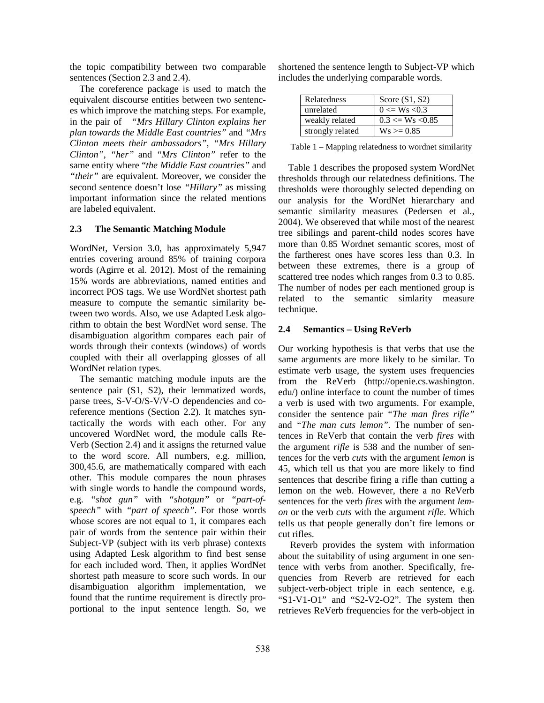the topic compatibility between two comparable sentences (Section 2.3 and 2.4).

The coreference package is used to match the equivalent discourse entities between two sentences which improve the matching steps. For example, in the pair of *"Mrs Hillary Clinton explains her plan towards the Middle East countries"* and *"Mrs Clinton meets their ambassadors"*, *"Mrs Hillary Clinton"*, *"her"* and *"Mrs Clinton"* refer to the same entity where "*the Middle East countries"* and *"their"* are equivalent. Moreover, we consider the second sentence doesn't lose *"Hillary"* as missing important information since the related mentions are labeled equivalent.

## **2.3 The Semantic Matching Module**

WordNet, Version 3.0, has approximately 5,947 entries covering around 85% of training corpora words (Agirre et al. 2012). Most of the remaining 15% words are abbreviations, named entities and incorrect POS tags. We use WordNet shortest path measure to compute the semantic similarity between two words. Also, we use Adapted Lesk algorithm to obtain the best WordNet word sense. The disambiguation algorithm compares each pair of words through their contexts (windows) of words coupled with their all overlapping glosses of all WordNet relation types.

The semantic matching module inputs are the sentence pair (S1, S2), their lemmatized words, parse trees, S-V-O/S-V/V-O dependencies and coreference mentions (Section 2.2). It matches syntactically the words with each other. For any uncovered WordNet word, the module calls Re-Verb (Section 2.4) and it assigns the returned value to the word score. All numbers, e.g. million, 300,45.6, are mathematically compared with each other. This module compares the noun phrases with single words to handle the compound words, e.g. *"shot gun"* with *"shotgun"* or *"part-ofspeech"* with *"part of speech"*. For those words whose scores are not equal to 1, it compares each pair of words from the sentence pair within their Subject-VP (subject with its verb phrase) contexts using Adapted Lesk algorithm to find best sense for each included word. Then, it applies WordNet shortest path measure to score such words. In our disambiguation algorithm implementation, we found that the runtime requirement is directly proportional to the input sentence length. So, we

shortened the sentence length to Subject-VP which includes the underlying comparable words.

| Relatedness      | Score $(S1, S2)$         |
|------------------|--------------------------|
| unrelated        | $0 \leq W_s \leq 0.3$    |
| weakly related   | $0.3 \leq W s \leq 0.85$ |
| strongly related | $Ws \ge 0.85$            |

Table 1 – Mapping relatedness to wordnet similarity

Table 1 describes the proposed system WordNet thresholds through our relatedness definitions. The thresholds were thoroughly selected depending on our analysis for the WordNet hierarchary and semantic similarity measures (Pedersen et al., 2004). We obsereved that while most of the nearest tree sibilings and parent-child nodes scores have more than 0.85 Wordnet semantic scores, most of the fartherest ones have scores less than 0.3. In between these extremes, there is a group of scattered tree nodes which ranges from 0.3 to 0.85. The number of nodes per each mentioned group is related to the semantic simlarity measure technique.

#### **2.4 Semantics – Using ReVerb**

Our working hypothesis is that verbs that use the same arguments are more likely to be similar. To estimate verb usage, the system uses frequencies from the ReVerb (http://openie.cs.washington. edu/) online interface to count the number of times a verb is used with two arguments. For example, consider the sentence pair *"The man fires rifle"* and *"The man cuts lemon"*. The number of sentences in ReVerb that contain the verb *fires* with the argument *rifle* is 538 and the number of sentences for the verb *cuts* with the argument *lemon* is 45, which tell us that you are more likely to find sentences that describe firing a rifle than cutting a lemon on the web. However, there a no ReVerb sentences for the verb *fires* with the argument *lemon* or the verb *cuts* with the argument *rifle*. Which tells us that people generally don't fire lemons or cut rifles.

 Reverb provides the system with information about the suitability of using argument in one sentence with verbs from another. Specifically, frequencies from Reverb are retrieved for each subject-verb-object triple in each sentence, e.g. "S1-V1-O1" and "S2-V2-O2". The system then retrieves ReVerb frequencies for the verb-object in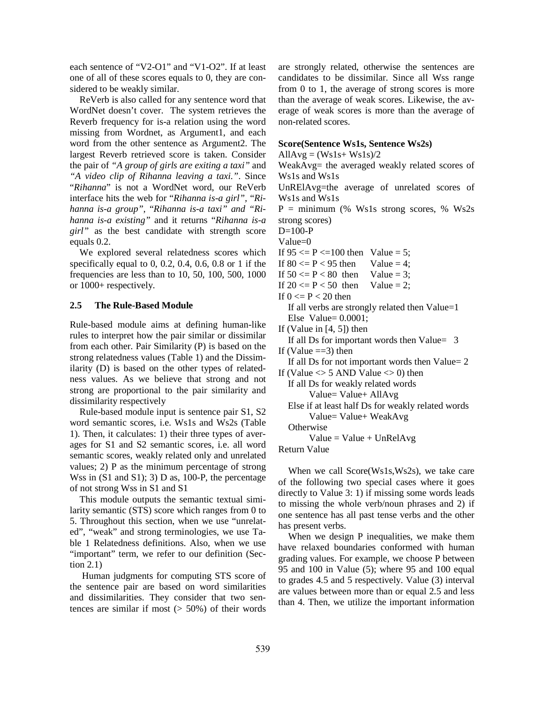each sentence of "V2-O1" and "V1-O2". If at least one of all of these scores equals to 0, they are considered to be weakly similar.

ReVerb is also called for any sentence word that WordNet doesn't cover. The system retrieves the Reverb frequency for is-a relation using the word missing from Wordnet, as Argument1, and each word from the other sentence as Argument2. The largest Reverb retrieved score is taken. Consider the pair of *"A group of girls are exiting a taxi"* and *"A video clip of Rihanna leaving a taxi."*. Since "*Rihanna*" is not a WordNet word, our ReVerb interface hits the web for "*Rihanna is-a girl",* "*Rihanna is-a group",* "*Rihanna is-a taxi" and "Rihanna is-a existing"* and it returns "*Rihanna is-a girl"* as the best candidate with strength score equals 0.2.

We explored several relatedness scores which specifically equal to 0, 0.2, 0.4, 0.6, 0.8 or 1 if the frequencies are less than to 10, 50, 100, 500, 1000 or 1000+ respectively.

#### **2.5 The Rule-Based Module**

Rule-based module aims at defining human-like rules to interpret how the pair similar or dissimilar from each other. Pair Similarity (P) is based on the strong relatedness values (Table 1) and the Dissimilarity (D) is based on the other types of relatedness values. As we believe that strong and not strong are proportional to the pair similarity and dissimilarity respectively

Rule-based module input is sentence pair S1, S2 word semantic scores, i.e. Ws1s and Ws2s (Table 1). Then, it calculates: 1) their three types of averages for S1 and S2 semantic scores, i.e. all word semantic scores, weakly related only and unrelated values; 2) P as the minimum percentage of strong Wss in  $(S1 \text{ and } S1)$ ; 3) D as, 100-P, the percentage of not strong Wss in S1 and S1

This module outputs the semantic textual similarity semantic (STS) score which ranges from 0 to 5. Throughout this section, when we use "unrelated", "weak" and strong terminologies, we use Table 1 Relatedness definitions. Also, when we use "important" term, we refer to our definition (Section 2.1)

Human judgments for computing STS score of the sentence pair are based on word similarities and dissimilarities. They consider that two sentences are similar if most  $(50\%)$  of their words are strongly related, otherwise the sentences are candidates to be dissimilar. Since all Wss range from 0 to 1, the average of strong scores is more than the average of weak scores. Likewise, the average of weak scores is more than the average of non-related scores.

#### **Score(Sentence Ws1s, Sentence Ws2s)**

 $AllAvg = (Wsls+Wsls)/2$ 

WeakAvg= the averaged weakly related scores of Ws1s and Ws1s

UnRElAvg=the average of unrelated scores of Ws1s and Ws1s

 $P =$  minimum (% Ws1s strong scores, % Ws2s strong scores)

 $D=100-P$ 

Value=0

If  $95 \le P \le 100$  then Value = 5;

If  $80 \le P \le 95$  then Value = 4;

If  $50 \leq P \leq 80$  then Value = 3;

If  $20 \le P \le 50$  then Value = 2;

If  $0 \le P < 20$  then

 If all verbs are strongly related then Value=1 Else Value=  $0.0001$ ;

If (Value in  $[4, 5]$ ) then

 If all Ds for important words then Value= 3 If (Value  $==3$ ) then

If all Ds for not important words then Value= 2

If (Value  $\leq$  5 AND Value  $\leq$  0) then

 If all Ds for weakly related words Value= Value+ AllAvg

 Else if at least half Ds for weakly related words Value= Value+ WeakAvg

**Otherwise** 

 $Value = Value + UnRelAvg$ 

Return Value

When we call Score(Ws1s,Ws2s), we take care of the following two special cases where it goes directly to Value 3: 1) if missing some words leads to missing the whole verb/noun phrases and 2) if one sentence has all past tense verbs and the other has present verbs.

When we design P inequalities, we make them have relaxed boundaries conformed with human grading values. For example, we choose P between 95 and 100 in Value (5); where 95 and 100 equal to grades 4.5 and 5 respectively. Value (3) interval are values between more than or equal 2.5 and less than 4. Then, we utilize the important information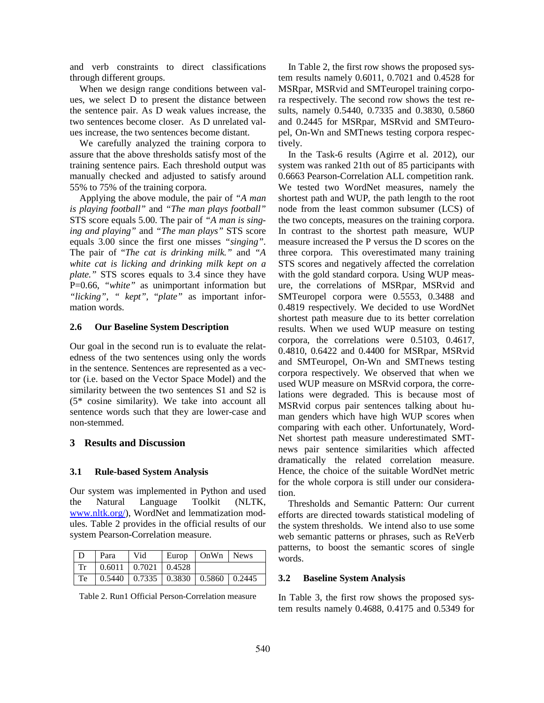and verb constraints to direct classifications through different groups.

When we design range conditions between values, we select D to present the distance between the sentence pair. As D weak values increase, the two sentences become closer. As D unrelated values increase, the two sentences become distant.

We carefully analyzed the training corpora to assure that the above thresholds satisfy most of the training sentence pairs. Each threshold output was manually checked and adjusted to satisfy around 55% to 75% of the training corpora.

Applying the above module, the pair of *"A man is playing football"* and *"The man plays football"* STS score equals 5.00. The pair of *"A man is singing and playing"* and *"The man plays"* STS score equals 3.00 since the first one misses *"singing"*. The pair of "*The cat is drinking milk."* and *"A white cat is licking and drinking milk kept on a plate."* STS scores equals to 3.4 since they have P=0.66, *"white"* as unimportant information but *"licking"*, *" kept"*, "*plate"* as important information words.

## **2.6 Our Baseline System Description**

Our goal in the second run is to evaluate the relatedness of the two sentences using only the words in the sentence. Sentences are represented as a vector (i.e. based on the Vector Space Model) and the similarity between the two sentences S1 and S2 is (5\* cosine similarity). We take into account all sentence words such that they are lower-case and non-stemmed.

## **3 Results and Discussion**

## **3.1 Rule-based System Analysis**

Our system was implemented in Python and used the Natural Language Toolkit (NLTK, www.nltk.org/), WordNet and lemmatization modules. Table 2 provides in the official results of our system Pearson-Correlation measure.

| D Para Vid                                                                                               | Europ   OnWn News |  |
|----------------------------------------------------------------------------------------------------------|-------------------|--|
| $\vert$ Tr $\vert$ 0.6011   0.7021   0.4528                                                              |                   |  |
| $\boxed{\text{Te}}$ $\boxed{0.5440}$ $\boxed{0.7335}$ $\boxed{0.3830}$ $\boxed{0.5860}$ $\boxed{0.2445}$ |                   |  |

Table 2. Run1 Official Person-Correlation measure

In Table 2, the first row shows the proposed system results namely 0.6011, 0.7021 and 0.4528 for MSRpar, MSRvid and SMTeuropel training corpora respectively. The second row shows the test results, namely 0.5440, 0.7335 and 0.3830, 0.5860 and 0.2445 for MSRpar, MSRvid and SMTeuropel, On-Wn and SMTnews testing corpora respectively.

In the Task-6 results (Agirre et al. 2012), our system was ranked 21th out of 85 participants with 0.6663 Pearson-Correlation ALL competition rank. We tested two WordNet measures, namely the shortest path and WUP, the path length to the root node from the least common subsumer (LCS) of the two concepts, measures on the training corpora. In contrast to the shortest path measure, WUP measure increased the P versus the D scores on the three corpora. This overestimated many training STS scores and negatively affected the correlation with the gold standard corpora. Using WUP measure, the correlations of MSRpar, MSRvid and SMTeuropel corpora were 0.5553, 0.3488 and 0.4819 respectively. We decided to use WordNet shortest path measure due to its better correlation results. When we used WUP measure on testing corpora, the correlations were 0.5103, 0.4617, 0.4810, 0.6422 and 0.4400 for MSRpar, MSRvid and SMTeuropel, On-Wn and SMTnews testing corpora respectively. We observed that when we used WUP measure on MSRvid corpora, the correlations were degraded. This is because most of MSRvid corpus pair sentences talking about human genders which have high WUP scores when comparing with each other. Unfortunately, Word-Net shortest path measure underestimated SMTnews pair sentence similarities which affected dramatically the related correlation measure. Hence, the choice of the suitable WordNet metric for the whole corpora is still under our consideration.

Thresholds and Semantic Pattern: Our current efforts are directed towards statistical modeling of the system thresholds. We intend also to use some web semantic patterns or phrases, such as ReVerb patterns, to boost the semantic scores of single words.

## **3.2 Baseline System Analysis**

In Table 3, the first row shows the proposed system results namely 0.4688, 0.4175 and 0.5349 for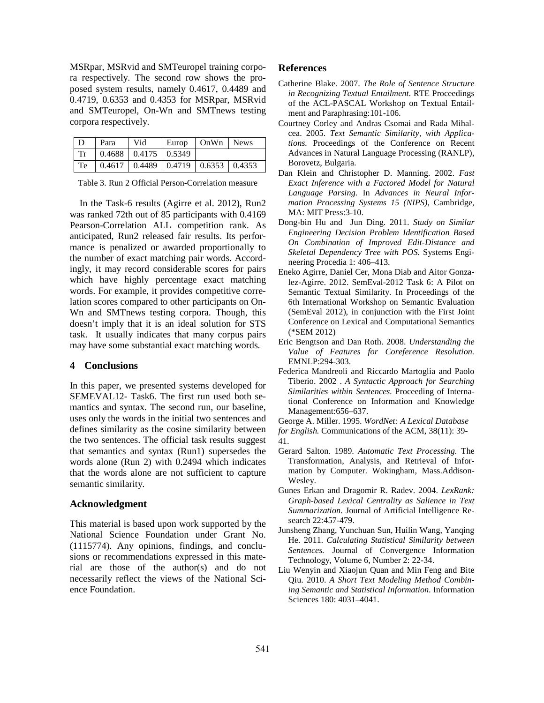MSRpar, MSRvid and SMTeuropel training corpora respectively. The second row shows the proposed system results, namely 0.4617, 0.4489 and 0.4719, 0.6353 and 0.4353 for MSRpar, MSRvid and SMTeuropel, On-Wn and SMTnews testing corpora respectively.

| $\overline{D}$ | Para                                            | Vid | Europ   OnWn   News |  |
|----------------|-------------------------------------------------|-----|---------------------|--|
|                | $Tr$   0.4688   0.4175   0.5349                 |     |                     |  |
|                | Te   0.4617   0.4489   0.4719   0.6353   0.4353 |     |                     |  |

Table 3. Run 2 Official Person-Correlation measure

In the Task-6 results (Agirre et al. 2012), Run2 was ranked 72th out of 85 participants with 0.4169 Pearson-Correlation ALL competition rank. As anticipated, Run2 released fair results. Its performance is penalized or awarded proportionally to the number of exact matching pair words. Accordingly, it may record considerable scores for pairs which have highly percentage exact matching words. For example, it provides competitive correlation scores compared to other participants on On-Wn and SMTnews testing corpora. Though, this doesn't imply that it is an ideal solution for STS task. It usually indicates that many corpus pairs may have some substantial exact matching words.

## **4 Conclusions**

In this paper, we presented systems developed for SEMEVAL12- Task6. The first run used both semantics and syntax. The second run, our baseline, uses only the words in the initial two sentences and defines similarity as the cosine similarity between the two sentences. The official task results suggest that semantics and syntax (Run1) supersedes the words alone (Run 2) with 0.2494 which indicates that the words alone are not sufficient to capture semantic similarity.

#### **Acknowledgment**

This material is based upon work supported by the National Science Foundation under Grant No. (1115774). Any opinions, findings, and conclusions or recommendations expressed in this material are those of the author(s) and do not necessarily reflect the views of the National Science Foundation.

#### **References**

- Catherine Blake. 2007. *The Role of Sentence Structure in Recognizing Textual Entailment.* RTE Proceedings of the ACL-PASCAL Workshop on Textual Entailment and Paraphrasing:101-106.
- Courtney Corley and Andras Csomai and Rada Mihalcea. 2005. *Text Semantic Similarity, with Applications.* Proceedings of the Conference on Recent Advances in Natural Language Processing (RANLP), Borovetz, Bulgaria.
- Dan Klein and Christopher D. Manning. 2002. *Fast Exact Inference with a Factored Model for Natural Language Parsing.* In *Advances in Neural Information Processing Systems 15 (NIPS)*, Cambridge, MA: MIT Press:3-10.
- Dong-bin Hu and Jun Ding. 2011. *Study on Similar Engineering Decision Problem Identification Based On Combination of Improved Edit-Distance and Skeletal Dependency Tree with POS.* Systems Engineering Procedia 1: 406–413.
- Eneko Agirre, Daniel Cer, Mona Diab and Aitor Gonzalez-Agirre. 2012. SemEval-2012 Task 6: A Pilot on Semantic Textual Similarity. In Proceedings of the 6th International Workshop on Semantic Evaluation (SemEval 2012), in conjunction with the First Joint Conference on Lexical and Computational Semantics (\*SEM 2012)
- Eric Bengtson and Dan Roth. 2008. *Understanding the Value of Features for Coreference Resolution.* EMNLP:294-303.
- Federica Mandreoli and Riccardo Martoglia and Paolo Tiberio. 2002 . *A Syntactic Approach for Searching Similarities within Sentences.* Proceeding of International Conference on Information and Knowledge Management:656–637.

George A. Miller. 1995. *WordNet: A Lexical Database* 

*for English.* Communications of the ACM, 38(11): 39- 41.

- Gerard Salton. 1989. *Automatic Text Processing.* The Transformation, Analysis, and Retrieval of Information by Computer. Wokingham, Mass.Addison-Wesley.
- Gunes Erkan and Dragomir R. Radev. 2004. *LexRank: Graph-based Lexical Centrality as Salience in Text Summarization.* Journal of Artificial Intelligence Research 22:457-479.
- Junsheng Zhang, Yunchuan Sun, Huilin Wang, Yanqing He. 2011. *Calculating Statistical Similarity between Sentences.* Journal of Convergence Information Technology, Volume 6, Number 2: 22-34.
- Liu Wenyin and Xiaojun Quan and Min Feng and Bite Qiu. 2010. *A Short Text Modeling Method Combining Semantic and Statistical Information.* Information Sciences 180: 4031–4041.